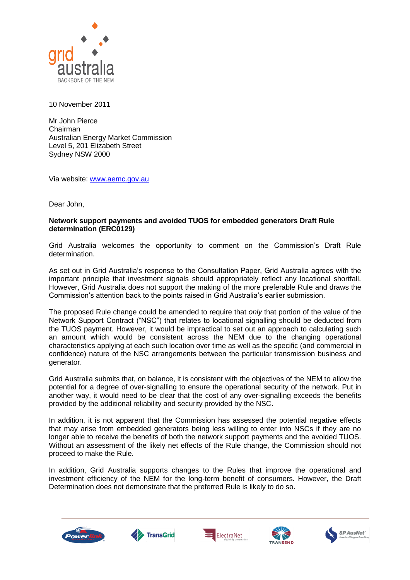

10 November 2011

Mr John Pierce Chairman Australian Energy Market Commission Level 5, 201 Elizabeth Street Sydney NSW 2000

Via website: [www.aemc.gov.au](http://www.aemc.gov.au/)

Dear John,

## **Network support payments and avoided TUOS for embedded generators Draft Rule determination (ERC0129)**

Grid Australia welcomes the opportunity to comment on the Commission's Draft Rule determination.

As set out in Grid Australia's response to the Consultation Paper, Grid Australia agrees with the important principle that investment signals should appropriately reflect any locational shortfall. However, Grid Australia does not support the making of the more preferable Rule and draws the Commission's attention back to the points raised in Grid Australia's earlier submission.

The proposed Rule change could be amended to require that *only* that portion of the value of the Network Support Contract ("NSC") that relates to locational signalling should be deducted from the TUOS payment. However, it would be impractical to set out an approach to calculating such an amount which would be consistent across the NEM due to the changing operational characteristics applying at each such location over time as well as the specific (and commercial in confidence) nature of the NSC arrangements between the particular transmission business and generator.

Grid Australia submits that, on balance, it is consistent with the objectives of the NEM to allow the potential for a degree of over-signalling to ensure the operational security of the network. Put in another way, it would need to be clear that the cost of any over-signalling exceeds the benefits provided by the additional reliability and security provided by the NSC.

In addition, it is not apparent that the Commission has assessed the potential negative effects that may arise from embedded generators being less willing to enter into NSCs if they are no longer able to receive the benefits of both the network support payments and the avoided TUOS. Without an assessment of the likely net effects of the Rule change, the Commission should not proceed to make the Rule.

In addition, Grid Australia supports changes to the Rules that improve the operational and investment efficiency of the NEM for the long-term benefit of consumers. However, the Draft Determination does not demonstrate that the preferred Rule is likely to do so.